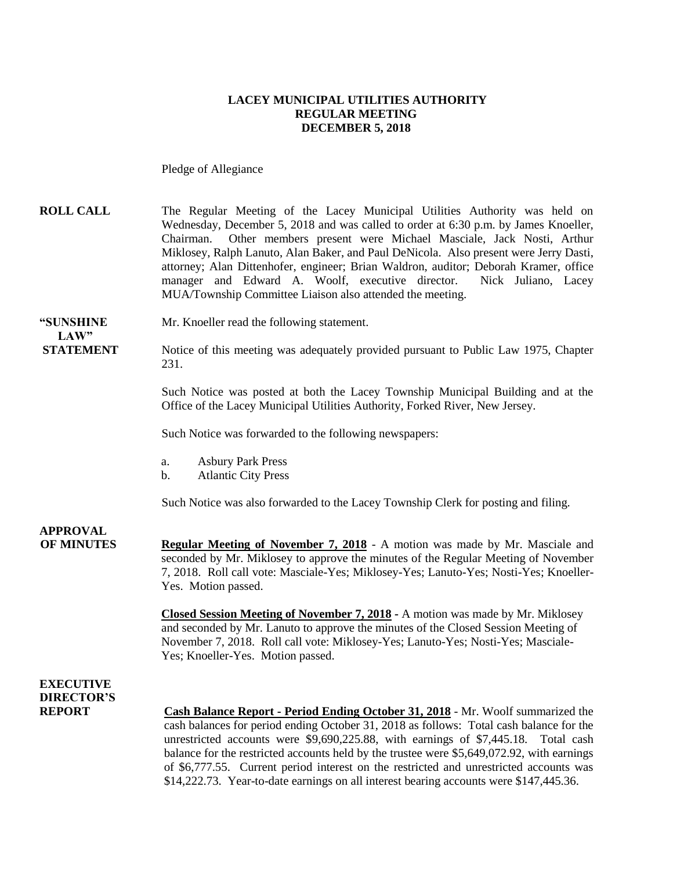#### **LACEY MUNICIPAL UTILITIES AUTHORITY REGULAR MEETING DECEMBER 5, 2018**

Pledge of Allegiance

**ROLL CALL** The Regular Meeting of the Lacey Municipal Utilities Authority was held on Wednesday, December 5, 2018 and was called to order at 6:30 p.m. by James Knoeller, Chairman. Other members present were Michael Masciale, Jack Nosti, Arthur Miklosey, Ralph Lanuto, Alan Baker, and Paul DeNicola. Also present were Jerry Dasti, attorney; Alan Dittenhofer, engineer; Brian Waldron, auditor; Deborah Kramer, office manager and Edward A. Woolf, executive director. Nick Juliano, Lacey MUA/Township Committee Liaison also attended the meeting.

**"SUNSHINE** Mr. Knoeller read the following statement.  $LAW"$ 

**STATEMENT** Notice of this meeting was adequately provided pursuant to Public Law 1975, Chapter 231.

> Such Notice was posted at both the Lacey Township Municipal Building and at the Office of the Lacey Municipal Utilities Authority, Forked River, New Jersey.

Such Notice was forwarded to the following newspapers:

- a. Asbury Park Press
- b. Atlantic City Press

Such Notice was also forwarded to the Lacey Township Clerk for posting and filing.

**APPROVAL**

**OF MINUTES Regular Meeting of November 7, 2018** - A motion was made by Mr. Masciale and seconded by Mr. Miklosey to approve the minutes of the Regular Meeting of November 7, 2018. Roll call vote: Masciale-Yes; Miklosey-Yes; Lanuto-Yes; Nosti-Yes; Knoeller-Yes. Motion passed.

> **Closed Session Meeting of November 7, 2018 -** A motion was made by Mr. Miklosey and seconded by Mr. Lanuto to approve the minutes of the Closed Session Meeting of November 7, 2018. Roll call vote: Miklosey-Yes; Lanuto-Yes; Nosti-Yes; Masciale-Yes; Knoeller-Yes. Motion passed.

### **EXECUTIVE DIRECTOR'S**

**REPORT Cash Balance Report - Period Ending October 31, 2018** - Mr. Woolf summarized the cash balances for period ending October 31, 2018 as follows: Total cash balance for the unrestricted accounts were \$9,690,225.88, with earnings of \$7,445.18. Total cash balance for the restricted accounts held by the trustee were \$5,649,072.92, with earnings of \$6,777.55. Current period interest on the restricted and unrestricted accounts was \$14,222.73. Year-to-date earnings on all interest bearing accounts were \$147,445.36.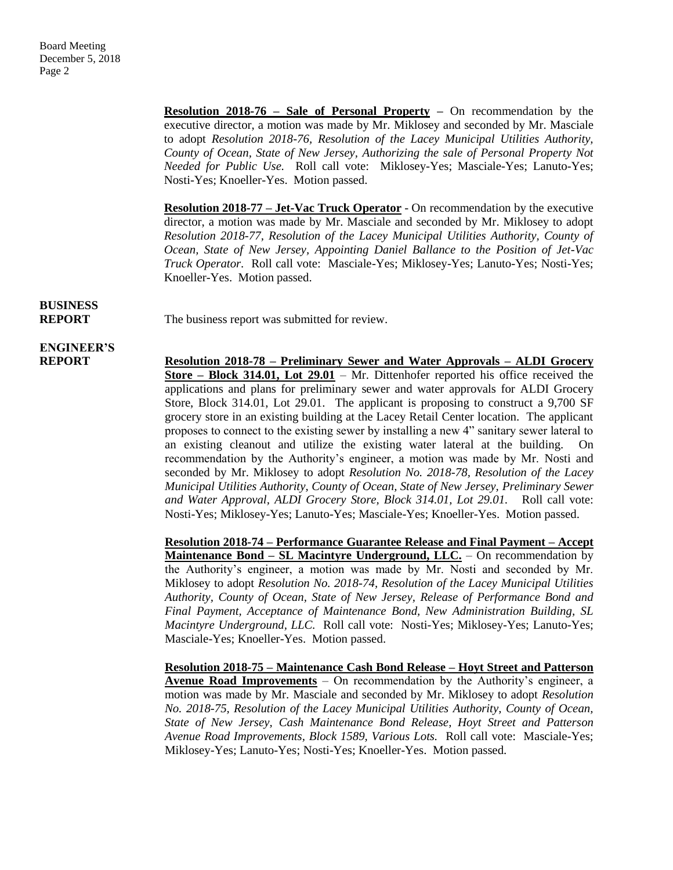**Resolution 2018-76 – Sale of Personal Property –** On recommendation by the executive director, a motion was made by Mr. Miklosey and seconded by Mr. Masciale to adopt *Resolution 2018-76, Resolution of the Lacey Municipal Utilities Authority, County of Ocean, State of New Jersey, Authorizing the sale of Personal Property Not Needed for Public Use.* Roll call vote: Miklosey-Yes; Masciale-Yes; Lanuto-Yes; Nosti-Yes; Knoeller-Yes. Motion passed.

**Resolution 2018-77 – Jet-Vac Truck Operator** - On recommendation by the executive director, a motion was made by Mr. Masciale and seconded by Mr. Miklosey to adopt *Resolution 2018-77, Resolution of the Lacey Municipal Utilities Authority, County of Ocean, State of New Jersey, Appointing Daniel Ballance to the Position of Jet-Vac Truck Operator.* Roll call vote: Masciale-Yes; Miklosey-Yes; Lanuto-Yes; Nosti-Yes; Knoeller-Yes. Motion passed.

### **BUSINESS**

**REPORT** The business report was submitted for review.

# **ENGINEER'S**

**REPORT Resolution 2018-78 – Preliminary Sewer and Water Approvals – ALDI Grocery Store – Block 314.01, Lot 29.01** – Mr. Dittenhofer reported his office received the applications and plans for preliminary sewer and water approvals for ALDI Grocery Store, Block 314.01, Lot 29.01. The applicant is proposing to construct a 9,700 SF grocery store in an existing building at the Lacey Retail Center location. The applicant proposes to connect to the existing sewer by installing a new 4" sanitary sewer lateral to an existing cleanout and utilize the existing water lateral at the building. On recommendation by the Authority's engineer, a motion was made by Mr. Nosti and seconded by Mr. Miklosey to adopt *Resolution No. 2018-78, Resolution of the Lacey Municipal Utilities Authority, County of Ocean, State of New Jersey, Preliminary Sewer and Water Approval, ALDI Grocery Store, Block 314.01, Lot 29.01.* Roll call vote: Nosti-Yes; Miklosey-Yes; Lanuto-Yes; Masciale-Yes; Knoeller-Yes. Motion passed.

> **Resolution 2018-74 – Performance Guarantee Release and Final Payment – Accept Maintenance Bond – SL Macintyre Underground, LLC.** – On recommendation by the Authority's engineer, a motion was made by Mr. Nosti and seconded by Mr. Miklosey to adopt *Resolution No. 2018-74, Resolution of the Lacey Municipal Utilities Authority, County of Ocean, State of New Jersey, Release of Performance Bond and Final Payment, Acceptance of Maintenance Bond, New Administration Building, SL Macintyre Underground, LLC.* Roll call vote: Nosti-Yes; Miklosey-Yes; Lanuto-Yes; Masciale-Yes; Knoeller-Yes. Motion passed.

> **Resolution 2018-75 – Maintenance Cash Bond Release – Hoyt Street and Patterson Avenue Road Improvements** – On recommendation by the Authority's engineer, a motion was made by Mr. Masciale and seconded by Mr. Miklosey to adopt *Resolution No. 2018-75, Resolution of the Lacey Municipal Utilities Authority, County of Ocean, State of New Jersey, Cash Maintenance Bond Release, Hoyt Street and Patterson Avenue Road Improvements, Block 1589, Various Lots.* Roll call vote: Masciale-Yes; Miklosey-Yes; Lanuto-Yes; Nosti-Yes; Knoeller-Yes. Motion passed.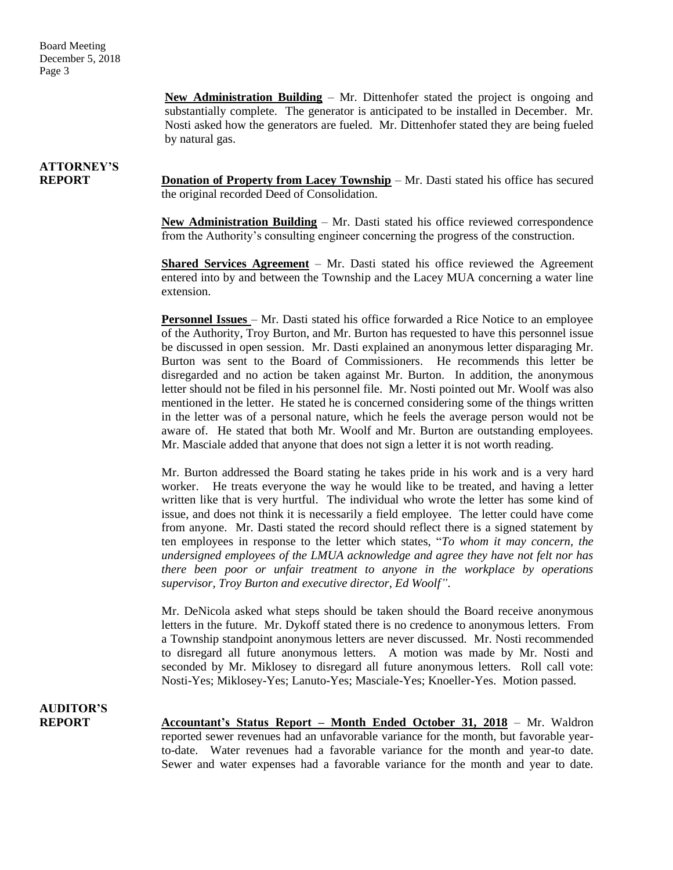**New Administration Building** – Mr. Dittenhofer stated the project is ongoing and substantially complete. The generator is anticipated to be installed in December. Mr. Nosti asked how the generators are fueled. Mr. Dittenhofer stated they are being fueled by natural gas.

## **ATTORNEY'S**

**REPORT Donation of Property from Lacey Township** – Mr. Dasti stated his office has secured the original recorded Deed of Consolidation.

> **New Administration Building** – Mr. Dasti stated his office reviewed correspondence from the Authority's consulting engineer concerning the progress of the construction.

> **Shared Services Agreement** – Mr. Dasti stated his office reviewed the Agreement entered into by and between the Township and the Lacey MUA concerning a water line extension.

> **Personnel Issues** – Mr. Dasti stated his office forwarded a Rice Notice to an employee of the Authority, Troy Burton, and Mr. Burton has requested to have this personnel issue be discussed in open session. Mr. Dasti explained an anonymous letter disparaging Mr. Burton was sent to the Board of Commissioners. He recommends this letter be disregarded and no action be taken against Mr. Burton. In addition, the anonymous letter should not be filed in his personnel file. Mr. Nosti pointed out Mr. Woolf was also mentioned in the letter. He stated he is concerned considering some of the things written in the letter was of a personal nature, which he feels the average person would not be aware of. He stated that both Mr. Woolf and Mr. Burton are outstanding employees. Mr. Masciale added that anyone that does not sign a letter it is not worth reading.

> Mr. Burton addressed the Board stating he takes pride in his work and is a very hard worker. He treats everyone the way he would like to be treated, and having a letter written like that is very hurtful. The individual who wrote the letter has some kind of issue, and does not think it is necessarily a field employee. The letter could have come from anyone. Mr. Dasti stated the record should reflect there is a signed statement by ten employees in response to the letter which states, "*To whom it may concern, the undersigned employees of the LMUA acknowledge and agree they have not felt nor has there been poor or unfair treatment to anyone in the workplace by operations supervisor, Troy Burton and executive director, Ed Woolf"*.

> Mr. DeNicola asked what steps should be taken should the Board receive anonymous letters in the future. Mr. Dykoff stated there is no credence to anonymous letters. From a Township standpoint anonymous letters are never discussed. Mr. Nosti recommended to disregard all future anonymous letters. A motion was made by Mr. Nosti and seconded by Mr. Miklosey to disregard all future anonymous letters. Roll call vote: Nosti-Yes; Miklosey-Yes; Lanuto-Yes; Masciale-Yes; Knoeller-Yes. Motion passed.

**AUDITOR'S**

**REPORT Accountant's Status Report – Month Ended October 31, 2018** – Mr. Waldron reported sewer revenues had an unfavorable variance for the month, but favorable yearto-date. Water revenues had a favorable variance for the month and year-to date. Sewer and water expenses had a favorable variance for the month and year to date.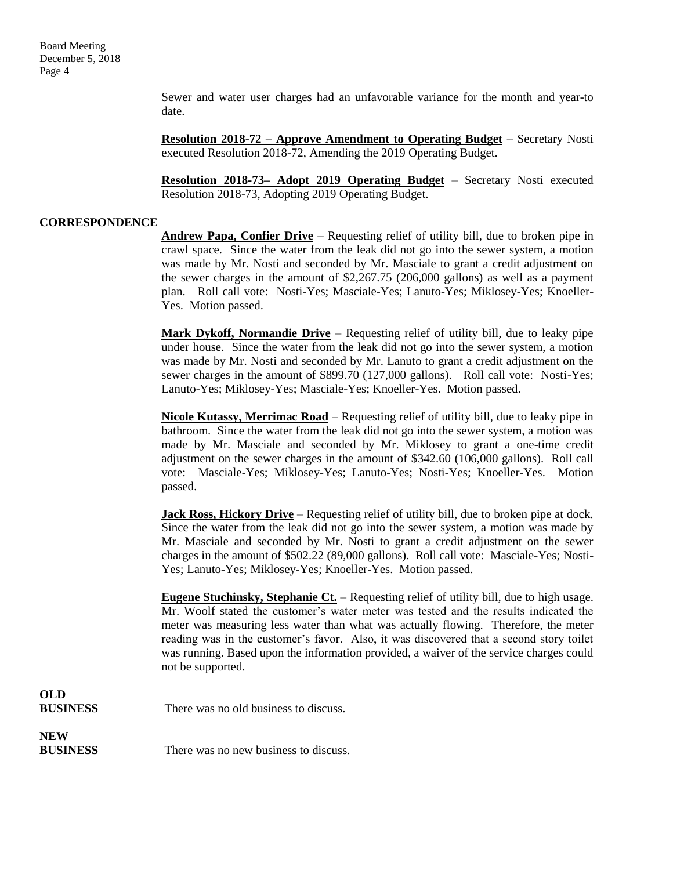Sewer and water user charges had an unfavorable variance for the month and year-to date.

**Resolution 2018-72 – Approve Amendment to Operating Budget** – Secretary Nosti executed Resolution 2018-72, Amending the 2019 Operating Budget.

**Resolution 2018-73– Adopt 2019 Operating Budget** – Secretary Nosti executed Resolution 2018-73, Adopting 2019 Operating Budget.

#### **CORRESPONDENCE**

**Andrew Papa, Confier Drive** – Requesting relief of utility bill, due to broken pipe in crawl space. Since the water from the leak did not go into the sewer system, a motion was made by Mr. Nosti and seconded by Mr. Masciale to grant a credit adjustment on the sewer charges in the amount of \$2,267.75 (206,000 gallons) as well as a payment plan. Roll call vote: Nosti-Yes; Masciale-Yes; Lanuto-Yes; Miklosey-Yes; Knoeller-Yes. Motion passed.

**Mark Dykoff, Normandie Drive** – Requesting relief of utility bill, due to leaky pipe under house. Since the water from the leak did not go into the sewer system, a motion was made by Mr. Nosti and seconded by Mr. Lanuto to grant a credit adjustment on the sewer charges in the amount of \$899.70 (127,000 gallons). Roll call vote: Nosti-Yes; Lanuto-Yes; Miklosey-Yes; Masciale-Yes; Knoeller-Yes. Motion passed.

**Nicole Kutassy, Merrimac Road** – Requesting relief of utility bill, due to leaky pipe in bathroom. Since the water from the leak did not go into the sewer system, a motion was made by Mr. Masciale and seconded by Mr. Miklosey to grant a one-time credit adjustment on the sewer charges in the amount of \$342.60 (106,000 gallons). Roll call vote: Masciale-Yes; Miklosey-Yes; Lanuto-Yes; Nosti-Yes; Knoeller-Yes. Motion passed.

**Jack Ross, Hickory Drive** – Requesting relief of utility bill, due to broken pipe at dock. Since the water from the leak did not go into the sewer system, a motion was made by Mr. Masciale and seconded by Mr. Nosti to grant a credit adjustment on the sewer charges in the amount of \$502.22 (89,000 gallons). Roll call vote: Masciale-Yes; Nosti-Yes; Lanuto-Yes; Miklosey-Yes; Knoeller-Yes. Motion passed.

**Eugene Stuchinsky, Stephanie Ct.** – Requesting relief of utility bill, due to high usage. Mr. Woolf stated the customer's water meter was tested and the results indicated the meter was measuring less water than what was actually flowing. Therefore, the meter reading was in the customer's favor. Also, it was discovered that a second story toilet was running. Based upon the information provided, a waiver of the service charges could not be supported.

### **OLD BUSINESS** There was no old business to discuss.

**NEW**

**BUSINESS** There was no new business to discuss.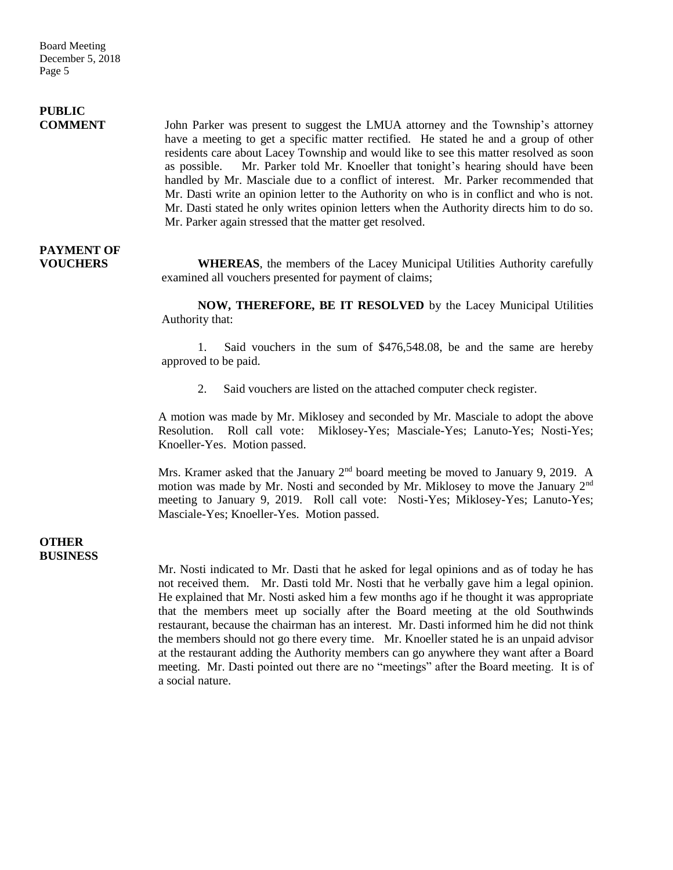Board Meeting December 5, 2018 Page 5

## **PUBLIC**

**COMMENT** John Parker was present to suggest the LMUA attorney and the Township's attorney have a meeting to get a specific matter rectified. He stated he and a group of other residents care about Lacey Township and would like to see this matter resolved as soon as possible. Mr. Parker told Mr. Knoeller that tonight's hearing should have been handled by Mr. Masciale due to a conflict of interest. Mr. Parker recommended that Mr. Dasti write an opinion letter to the Authority on who is in conflict and who is not. Mr. Dasti stated he only writes opinion letters when the Authority directs him to do so. Mr. Parker again stressed that the matter get resolved.

## **PAYMENT OF**

**VOUCHERS WHEREAS**, the members of the Lacey Municipal Utilities Authority carefully examined all vouchers presented for payment of claims;

> **NOW, THEREFORE, BE IT RESOLVED** by the Lacey Municipal Utilities Authority that:

> 1. Said vouchers in the sum of \$476,548.08, be and the same are hereby approved to be paid.

2. Said vouchers are listed on the attached computer check register.

A motion was made by Mr. Miklosey and seconded by Mr. Masciale to adopt the above Resolution. Roll call vote: Miklosey-Yes; Masciale-Yes; Lanuto-Yes; Nosti-Yes; Knoeller-Yes. Motion passed.

Mrs. Kramer asked that the January 2<sup>nd</sup> board meeting be moved to January 9, 2019. A motion was made by Mr. Nosti and seconded by Mr. Miklosey to move the January 2<sup>nd</sup> meeting to January 9, 2019. Roll call vote: Nosti-Yes; Miklosey-Yes; Lanuto-Yes; Masciale-Yes; Knoeller-Yes. Motion passed.

#### **OTHER BUSINESS**

Mr. Nosti indicated to Mr. Dasti that he asked for legal opinions and as of today he has not received them. Mr. Dasti told Mr. Nosti that he verbally gave him a legal opinion. He explained that Mr. Nosti asked him a few months ago if he thought it was appropriate that the members meet up socially after the Board meeting at the old Southwinds restaurant, because the chairman has an interest. Mr. Dasti informed him he did not think the members should not go there every time. Mr. Knoeller stated he is an unpaid advisor at the restaurant adding the Authority members can go anywhere they want after a Board meeting. Mr. Dasti pointed out there are no "meetings" after the Board meeting. It is of a social nature.